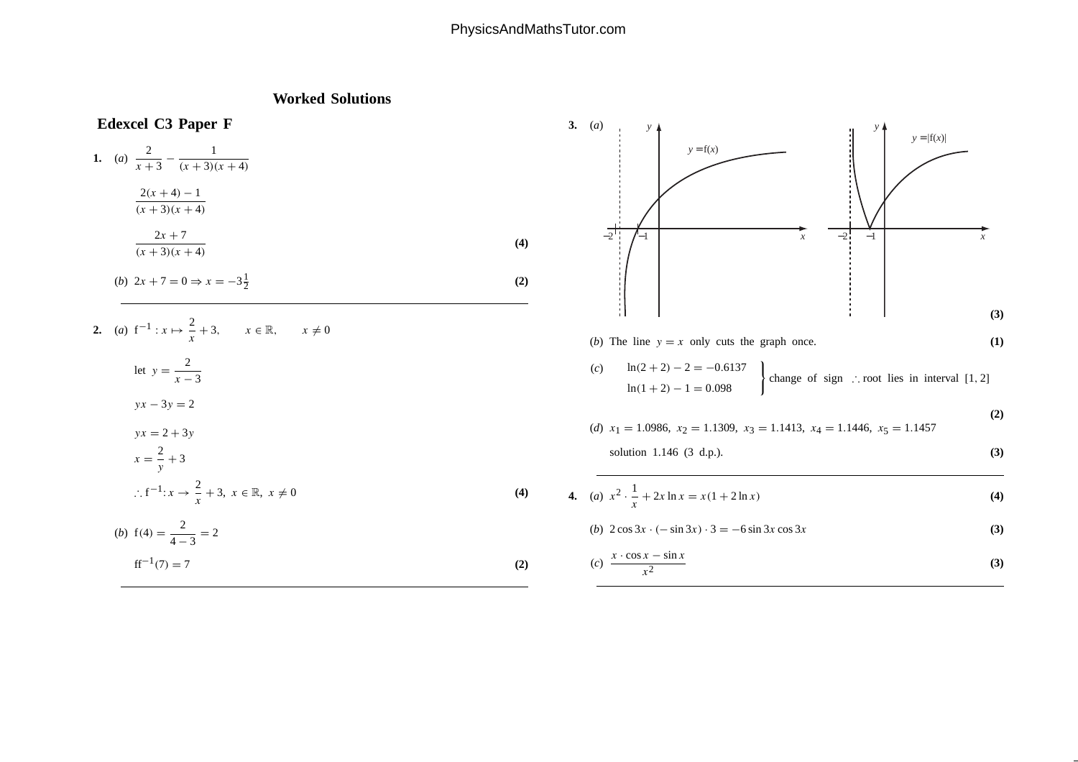## PhysicsAndMathsTutor.com

## **Worked Solutions**

 $\frac{1}{2}$  (2)

**Edexcel C3 Paper F**  
\n1. (a) 
$$
\frac{2}{x+3} - \frac{1}{(x+3)(x+4)}
$$
  
\n $\frac{2(x+4)-1}{(x+3)(x+4)}$   
\n $\frac{2x+7}{(x+3)(x+4)}$   
\n(b)  $2x+7=0 \Rightarrow x=-3\frac{1}{2}$  (2)

2. (a) 
$$
f^{-1}: x \mapsto \frac{2}{x} + 3
$$
,  $x \in \mathbb{R}$ ,  $x \neq 0$   
\nlet  $y = \frac{2}{x - 3}$   
\n $yx - 3y = 2$   
\n $yx = 2 + 3y$   
\n $x = \frac{2}{y} + 3$   
\n $\therefore f^{-1}: x \to \frac{2}{x} + 3, x \in \mathbb{R}, x \neq 0$   
\n(b)  $f(4) = \frac{2}{4 - 3} = 2$  (4)

b) 
$$
f(4) = \frac{2}{4-3} = 2
$$
  
\n $f^{-1}(7) = 7$  (2)